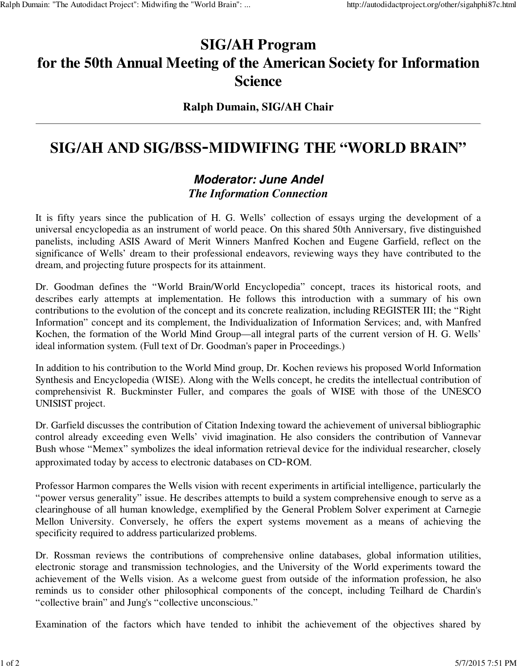# **SIG/AH Program for the 50th Annual Meeting of the American Society for Information Science**

### **Ralph Dumain, SIG/AH Chair**

## **SIG/AH AND SIG/BSS**-**MIDWIFING THE "WORLD BRAIN"**

## **Moderator: June Andel** *The Information Connection*

It is fifty years since the publication of H. G. Wells' collection of essays urging the development of a universal encyclopedia as an instrument of world peace. On this shared 50th Anniversary, five distinguished panelists, including ASIS Award of Merit Winners Manfred Kochen and Eugene Garfield, reflect on the significance of Wells' dream to their professional endeavors, reviewing ways they have contributed to the dream, and projecting future prospects for its attainment.

Dr. Goodman defines the "World Brain/World Encyclopedia" concept, traces its historical roots, and describes early attempts at implementation. He follows this introduction with a summary of his own contributions to the evolution of the concept and its concrete realization, including REGISTER III; the "Right Information" concept and its complement, the Individualization of Information Services; and, with Manfred Kochen, the formation of the World Mind Group—all integral parts of the current version of H. G. Wells' ideal information system. (Full text of Dr. Goodman's paper in Proceedings.)

In addition to his contribution to the World Mind group, Dr. Kochen reviews his proposed World Information Synthesis and Encyclopedia (WISE). Along with the Wells concept, he credits the intellectual contribution of comprehensivist R. Buckminster Fuller, and compares the goals of WISE with those of the UNESCO UNISIST project.

Dr. Garfield discusses the contribution of Citation Indexing toward the achievement of universal bibliographic control already exceeding even Wells' vivid imagination. He also considers the contribution of Vannevar Bush whose "Memex" symbolizes the ideal information retrieval device for the individual researcher, closely approximated today by access to electronic databases on CD-ROM.

Professor Harmon compares the Wells vision with recent experiments in artificial intelligence, particularly the "power versus generality" issue. He describes attempts to build a system comprehensive enough to serve as a clearinghouse of all human knowledge, exemplified by the General Problem Solver experiment at Carnegie Mellon University. Conversely, he offers the expert systems movement as a means of achieving the specificity required to address particularized problems.

Dr. Rossman reviews the contributions of comprehensive online databases, global information utilities, electronic storage and transmission technologies, and the University of the World experiments toward the achievement of the Wells vision. As a welcome guest from outside of the information profession, he also reminds us to consider other philosophical components of the concept, including Teilhard de Chardin's "collective brain" and Jung's "collective unconscious."

Examination of the factors which have tended to inhibit the achievement of the objectives shared by